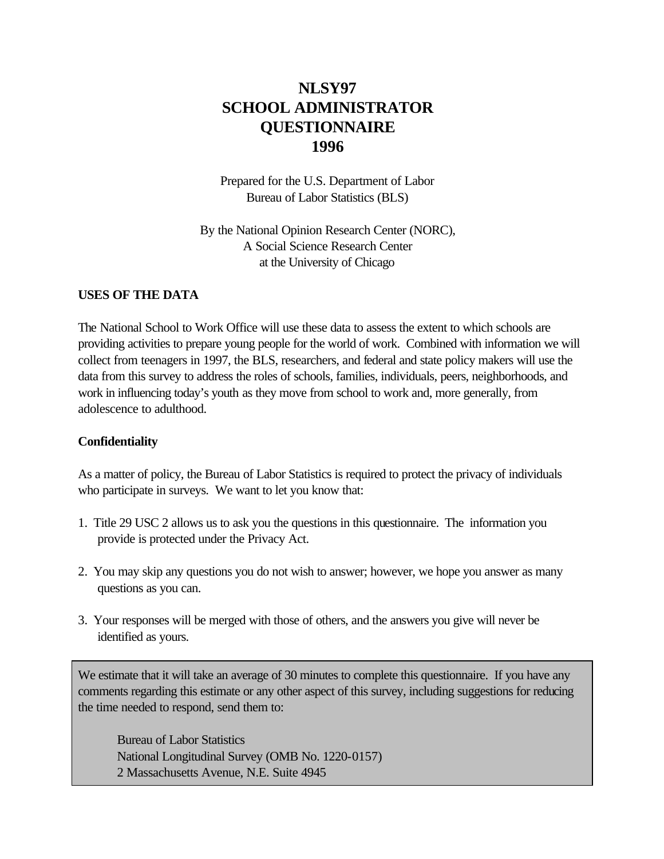# **NLSY97 SCHOOL ADMINISTRATOR QUESTIONNAIRE 1996**

Prepared for the U.S. Department of Labor Bureau of Labor Statistics (BLS)

By the National Opinion Research Center (NORC), A Social Science Research Center at the University of Chicago

#### **USES OF THE DATA**

The National School to Work Office will use these data to assess the extent to which schools are providing activities to prepare young people for the world of work. Combined with information we will collect from teenagers in 1997, the BLS, researchers, and federal and state policy makers will use the data from this survey to address the roles of schools, families, individuals, peers, neighborhoods, and work in influencing today's youth as they move from school to work and, more generally, from adolescence to adulthood.

#### **Confidentiality**

As a matter of policy, the Bureau of Labor Statistics is required to protect the privacy of individuals who participate in surveys. We want to let you know that:

- 1. Title 29 USC 2 allows us to ask you the questions in this questionnaire. The information you provide is protected under the Privacy Act.
- 2. You may skip any questions you do not wish to answer; however, we hope you answer as many questions as you can.
- 3. Your responses will be merged with those of others, and the answers you give will never be identified as yours.

We estimate that it will take an average of 30 minutes to complete this questionnaire. If you have any comments regarding this estimate or any other aspect of this survey, including suggestions for reducing the time needed to respond, send them to:

Bureau of Labor Statistics National Longitudinal Survey (OMB No. 1220-0157) 2 Massachusetts Avenue, N.E. Suite 4945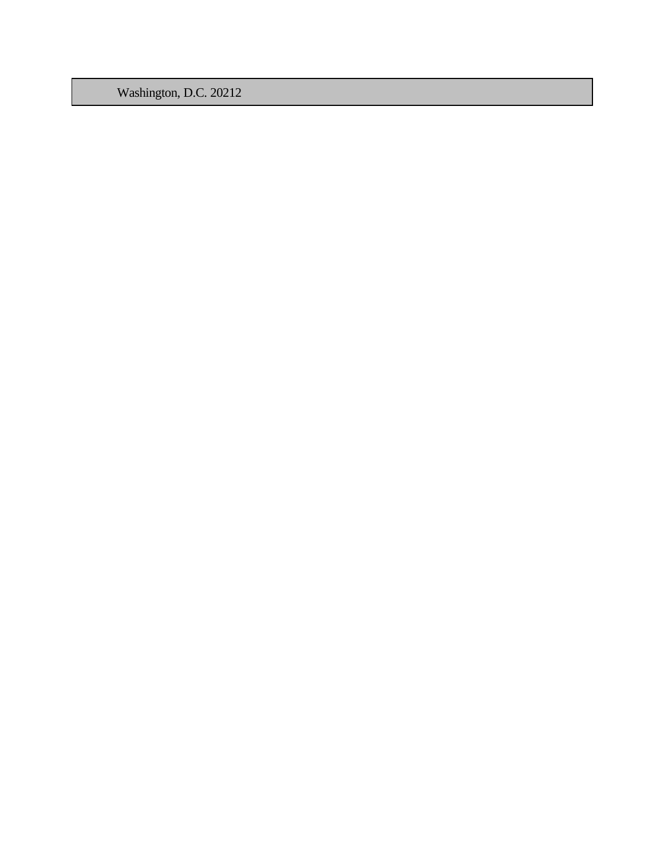Washington, D.C. 20212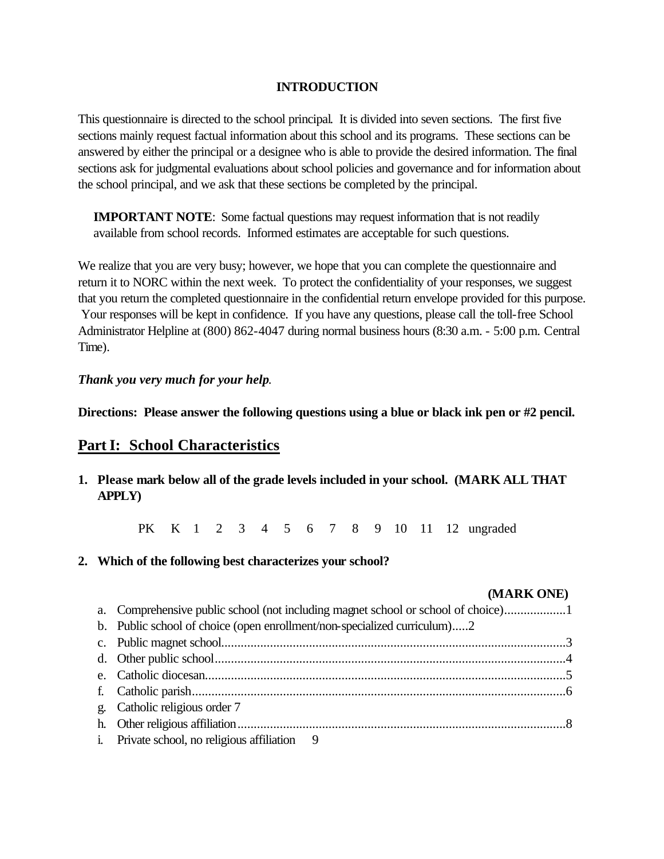#### **INTRODUCTION**

This questionnaire is directed to the school principal. It is divided into seven sections. The first five sections mainly request factual information about this school and its programs. These sections can be answered by either the principal or a designee who is able to provide the desired information. The final sections ask for judgmental evaluations about school policies and governance and for information about the school principal, and we ask that these sections be completed by the principal.

**IMPORTANT NOTE:** Some factual questions may request information that is not readily available from school records. Informed estimates are acceptable for such questions.

We realize that you are very busy; however, we hope that you can complete the questionnaire and return it to NORC within the next week. To protect the confidentiality of your responses, we suggest that you return the completed questionnaire in the confidential return envelope provided for this purpose. Your responses will be kept in confidence. If you have any questions, please call the toll-free School Administrator Helpline at (800) 862-4047 during normal business hours (8:30 a.m. - 5:00 p.m. Central Time).

#### *Thank you very much for your help*.

**Directions: Please answer the following questions using a blue or black ink pen or #2 pencil.**

#### **Part I: School Characteristics**

**1. Please mark below all of the grade levels included in your school. (MARK ALL THAT APPLY)**

PK K 1 2 3 4 5 6 7 8 9 10 11 12 ungraded

**2. Which of the following best characterizes your school?**

| (MARK ONE)                                                               |  |
|--------------------------------------------------------------------------|--|
|                                                                          |  |
| b. Public school of choice (open enrollment/non-specialized curriculum)2 |  |
|                                                                          |  |
|                                                                          |  |
|                                                                          |  |
|                                                                          |  |
| g. Catholic religious order 7                                            |  |
|                                                                          |  |
| i. Private school, no religious affiliation 9                            |  |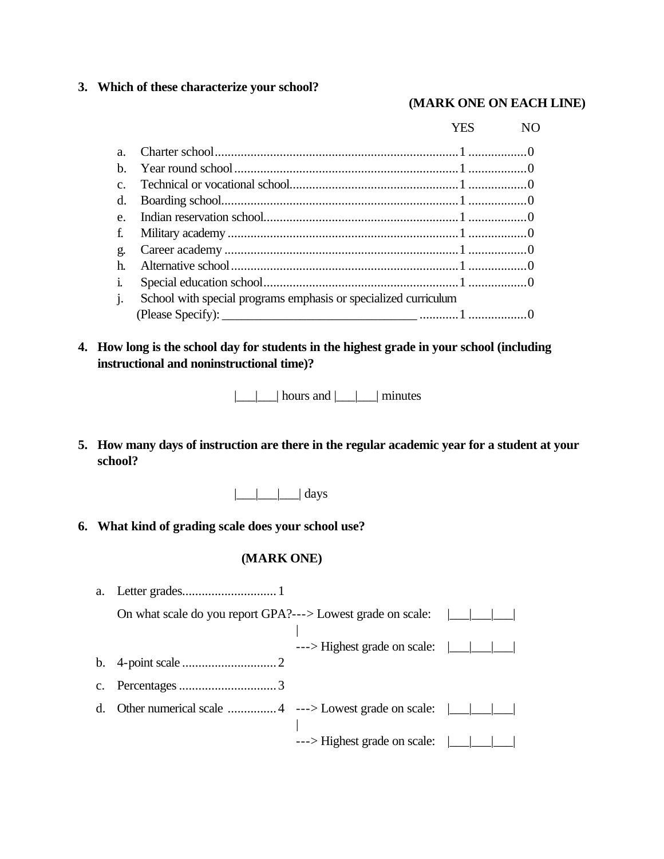#### **3. Which of these characterize your school?**

#### **(MARK ONE ON EACH LINE)**

|                  |                                                                 | YES | NO. |
|------------------|-----------------------------------------------------------------|-----|-----|
| a.               |                                                                 |     |     |
| h.               |                                                                 |     |     |
| $\overline{c}$ . |                                                                 |     |     |
| d.               |                                                                 |     |     |
| e.               |                                                                 |     |     |
| f.               |                                                                 |     |     |
| g.               |                                                                 |     |     |
| h.               |                                                                 |     |     |
| i.               |                                                                 |     |     |
| j.               | School with special programs emphasis or specialized curriculum |     |     |
|                  |                                                                 |     |     |

**4. How long is the school day for students in the highest grade in your school (including instructional and noninstructional time)?**

 $|\_$ |  $|$  hours and  $|\_$ |  $|$  minutes

- **5. How many days of instruction are there in the regular academic year for a student at your school?**
	- $|\_\_\_\_\|$  days
- **6. What kind of grading scale does your school use?**

| a.             |                                                             |                                       |  |
|----------------|-------------------------------------------------------------|---------------------------------------|--|
|                | On what scale do you report GPA?---> Lowest grade on scale: |                                       |  |
|                |                                                             | ---> Highest grade on scale:          |  |
|                |                                                             |                                       |  |
| $\mathbf{c}$ . |                                                             |                                       |  |
| d.             |                                                             |                                       |  |
|                |                                                             | $---$ >Highest grade on scale: $\Box$ |  |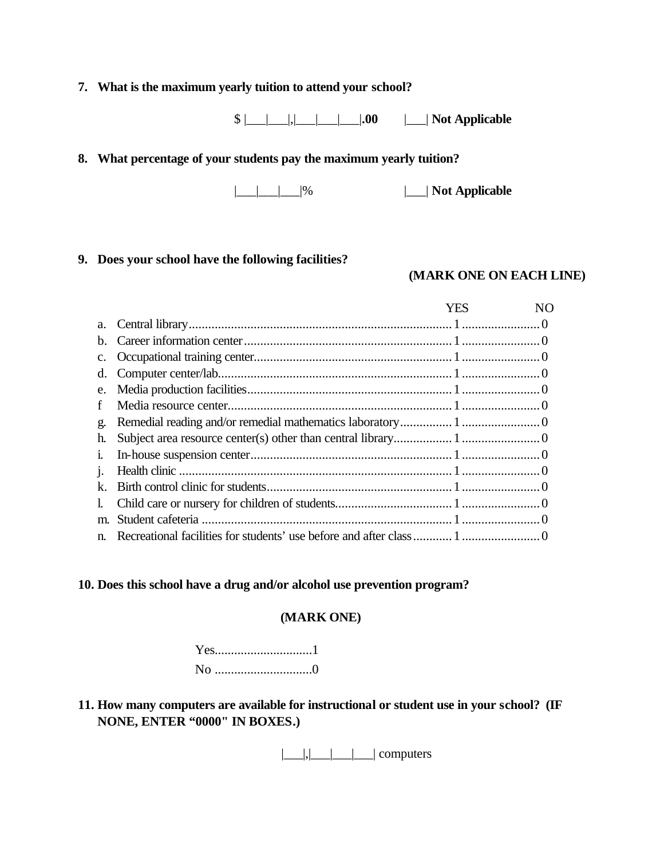# **7. What is the maximum yearly tuition to attend your school?**

 $\{\$\_\_\_\_\_\_\_\_\_\_\_\_\_\_\_\_$ .00  $\_\_\_\_\_\_\_\_\_\_\_$  **Not Applicable** 

#### **8. What percentage of your students pay the maximum yearly tuition?**

|\_\_\_|\_\_\_|\_\_\_|% |\_\_\_| **Not Applicable**

#### **9. Does your school have the following facilities?**

#### **(MARK ONE ON EACH LINE)**

|                | YES | NΟ |
|----------------|-----|----|
| a.             |     |    |
| b.             |     |    |
| $\mathbf{c}$ . |     |    |
| d.             |     |    |
| e.             |     |    |
| f              |     |    |
| g.             |     |    |
| h.             |     |    |
| 1.             |     |    |
| 1.             |     |    |
| k.             |     |    |
| $\mathbf{I}$   |     |    |
| m.             |     |    |
| n.             |     |    |

#### **10. Does this school have a drug and/or alcohol use prevention program?**

#### **(MARK ONE)**

Yes..............................1 No ..............................0

# **11. How many computers are available for instructional or student use in your school? (IF NONE, ENTER "0000" IN BOXES.)**

|\_\_\_|,|\_\_\_|\_\_\_|\_\_\_| computers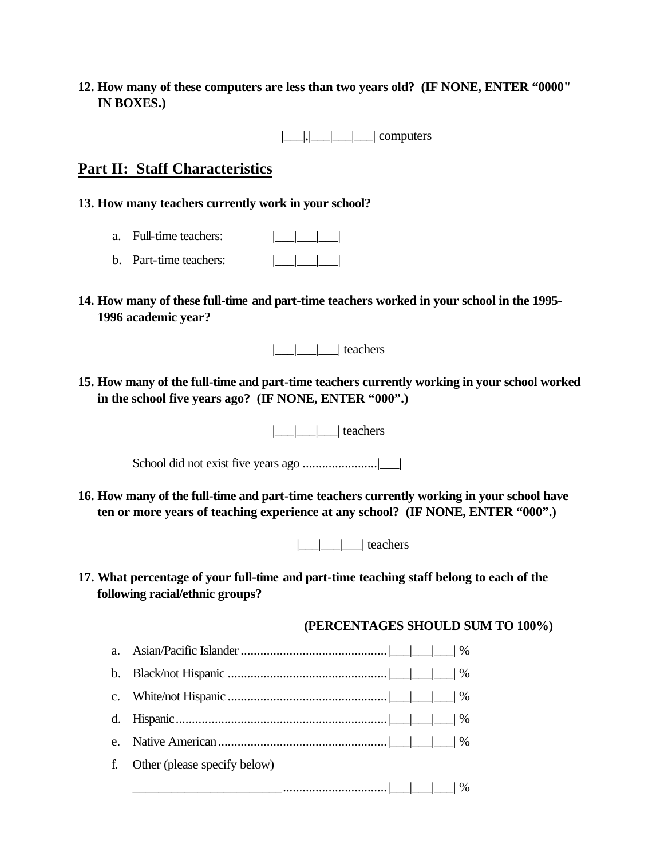**12. How many of these computers are less than two years old? (IF NONE, ENTER "0000" IN BOXES.)**

|\_\_\_|,|\_\_\_|\_\_\_|\_\_\_| computers

# **Part II: Staff Characteristics**

- **13. How many teachers currently work in your school?**
	- a. Full-time teachers:  $\Box$
	- b. Part-time teachers:  $|| \cdot || ||$
- **14. How many of these full-time and part-time teachers worked in your school in the 1995- 1996 academic year?**

|\_\_\_|\_\_\_|\_\_\_| teachers

**15. How many of the full-time and part-time teachers currently working in your school worked in the school five years ago? (IF NONE, ENTER "000".)**

 $|$   $|$   $|$  teachers

School did not exist five years ago .......................|\_\_\_|

**16. How many of the full-time and part-time teachers currently working in your school have ten or more years of teaching experience at any school? (IF NONE, ENTER "000".)**

|\_\_\_|\_\_\_|\_\_\_| teachers

**17. What percentage of your full-time and part-time teaching staff belong to each of the following racial/ethnic groups?**

**(PERCENTAGES SHOULD SUM TO 100%)**

| a. |                              |
|----|------------------------------|
| b. |                              |
|    |                              |
|    |                              |
| e. |                              |
| f. | Other (please specify below) |
|    |                              |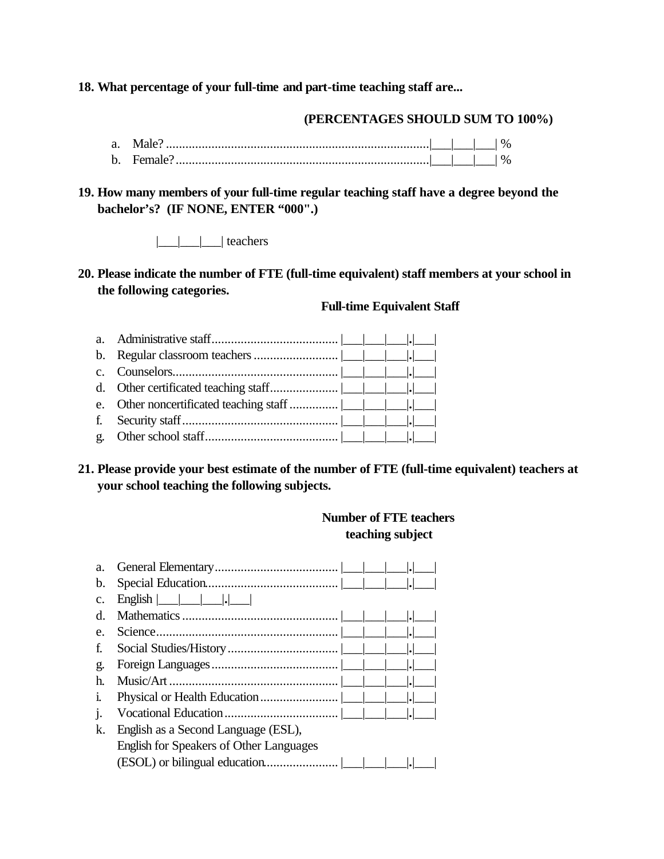#### **18. What percentage of your full-time and part-time teaching staff are...**

#### **(PERCENTAGES SHOULD SUM TO 100%)**

- a. Male? .................................................................................|\_\_\_|\_\_\_|\_\_\_| % b. Female?..............................................................................|\_\_\_|\_\_\_|\_\_\_| %
- **19. How many members of your full-time regular teaching staff have a degree beyond the bachelor's? (IF NONE, ENTER "000".)**

|\_\_\_|\_\_\_|\_\_\_| teachers

#### **20. Please indicate the number of FTE (full-time equivalent) staff members at your school in the following categories.**

#### **Full-time Equivalent Staff**

#### **21. Please provide your best estimate of the number of FTE (full-time equivalent) teachers at your school teaching the following subjects.**

#### **Number of FTE teachers teaching subject**

| a.           |                                                                     |
|--------------|---------------------------------------------------------------------|
| b.           |                                                                     |
| c.           | $English \nightharpoonup$ $\  \nightharpoonup$ $\  \nightharpoonup$ |
| d.           |                                                                     |
| e.           | .                                                                   |
| f.           |                                                                     |
| g.           | $  \bullet  $                                                       |
| h.           | .                                                                   |
| $\mathbf{1}$ | .                                                                   |
| 1.           |                                                                     |
| k.           | English as a Second Language (ESL),                                 |
|              | English for Speakers of Other Languages                             |
|              |                                                                     |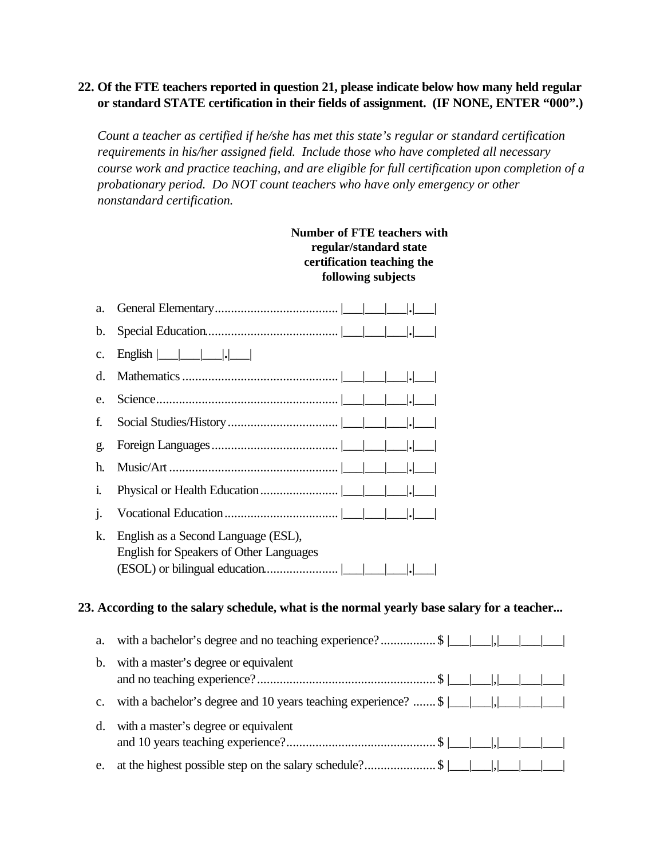### **22. Of the FTE teachers reported in question 21, please indicate below how many held regular or standard STATE certification in their fields of assignment. (IF NONE, ENTER "000".)**

*Count a teacher as certified if he/she has met this state's regular or standard certification requirements in his/her assigned field. Include those who have completed all necessary course work and practice teaching, and are eligible for full certification upon completion of a probationary period. Do NOT count teachers who have only emergency or other nonstandard certification.*

|                | <b>Number of FTE teachers with</b><br>regular/standard state<br>certification teaching the<br>following subjects                                |
|----------------|-------------------------------------------------------------------------------------------------------------------------------------------------|
| a.             |                                                                                                                                                 |
| b.             |                                                                                                                                                 |
| c.             |                                                                                                                                                 |
| d.             |                                                                                                                                                 |
| e.             |                                                                                                                                                 |
| f.             |                                                                                                                                                 |
| g.             |                                                                                                                                                 |
| h.             |                                                                                                                                                 |
| i.             |                                                                                                                                                 |
| j.             |                                                                                                                                                 |
| k.             | English as a Second Language (ESL),<br><b>English for Speakers of Other Languages</b>                                                           |
|                | 23. According to the salary schedule, what is the normal yearly base salary for a teacher                                                       |
| a.             | with a bachelor's degree and no teaching experience?\$ $\boxed{\underline{\qquad}, \underline{\qquad}, \underline{\qquad}, \underline{\qquad}}$ |
| b.             | with a master's degree or equivalent                                                                                                            |
| $\mathbf{c}$ . | with a bachelor's degree and 10 years teaching experience? $\frac{1}{1}$                                                                        |
| d.             | with a master's degree or equivalent                                                                                                            |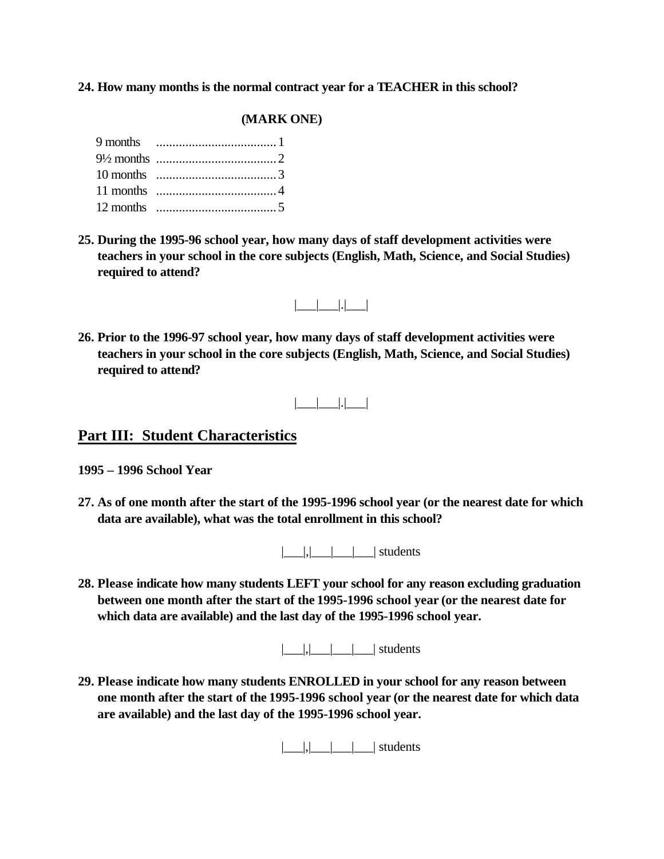#### **24. How many months is the normal contract year for a TEACHER in this school?**

#### **(MARK ONE)**

**25. During the 1995-96 school year, how many days of staff development activities were teachers in your school in the core subjects (English, Math, Science, and Social Studies) required to attend?**



**26. Prior to the 1996-97 school year, how many days of staff development activities were teachers in your school in the core subjects (English, Math, Science, and Social Studies) required to attend?**

|\_\_\_|\_\_\_|.|\_\_\_|

#### **Part III: Student Characteristics**

- **1995 1996 School Year**
- **27. As of one month after the start of the 1995-1996 school year (or the nearest date for which data are available), what was the total enrollment in this school?**

|\_\_\_|,|\_\_\_|\_\_\_|\_\_\_| students

**28. Please indicate how many students LEFT your school for any reason excluding graduation between one month after the start of the 1995-1996 school year (or the nearest date for which data are available) and the last day of the 1995-1996 school year.**

 $|$ , $|$ , $|$  $|$   $|$   $|$  students

**29. Please indicate how many students ENROLLED in your school for any reason between one month after the start of the 1995-1996 school year (or the nearest date for which data are available) and the last day of the 1995-1996 school year.**

|\_\_\_|,|\_\_\_|\_\_\_|\_\_\_| students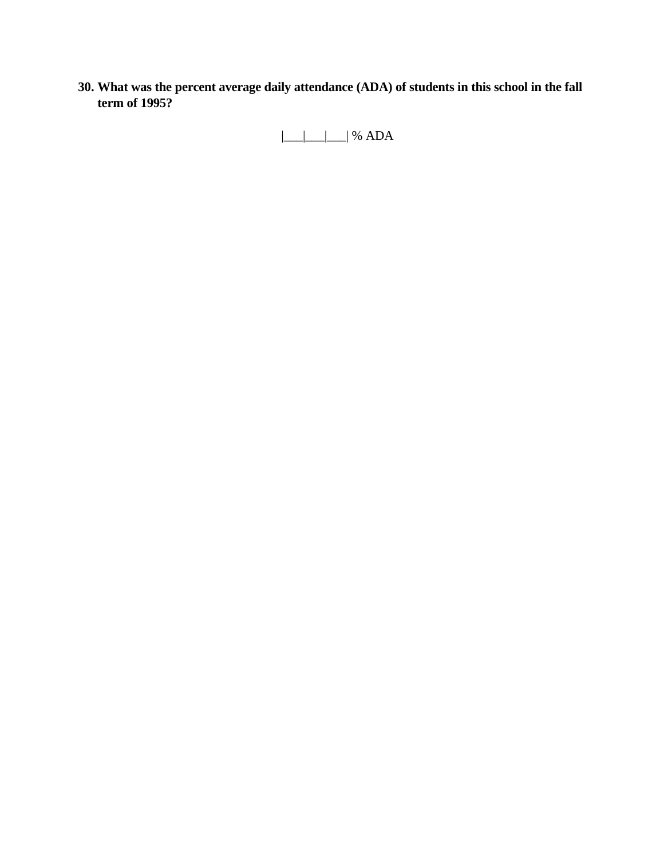**30. What was the percent average daily attendance (ADA) of students in this school in the fall term of 1995?**

 $|\_$ |\_\_|\_\_| % ADA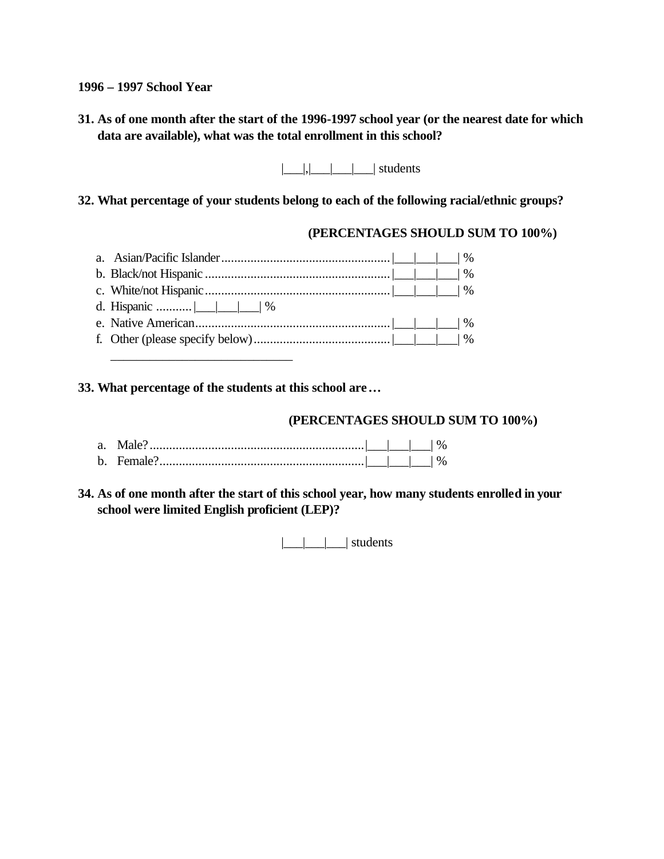**1996 – 1997 School Year**

**31. As of one month after the start of the 1996-1997 school year (or the nearest date for which data are available), what was the total enrollment in this school?**

 $|$ , $|$ , $|$  $|$   $|$   $|$  students

**32. What percentage of your students belong to each of the following racial/ethnic groups?**

#### **(PERCENTAGES SHOULD SUM TO 100%)**

**33. What percentage of the students at this school are…**

# **(PERCENTAGES SHOULD SUM TO 100%)**

| a. |         |  |  |
|----|---------|--|--|
| h  | Female? |  |  |

**34. As of one month after the start of this school year, how many students enrolled in your school were limited English proficient (LEP)?**

|\_\_\_|\_\_\_|\_\_\_| students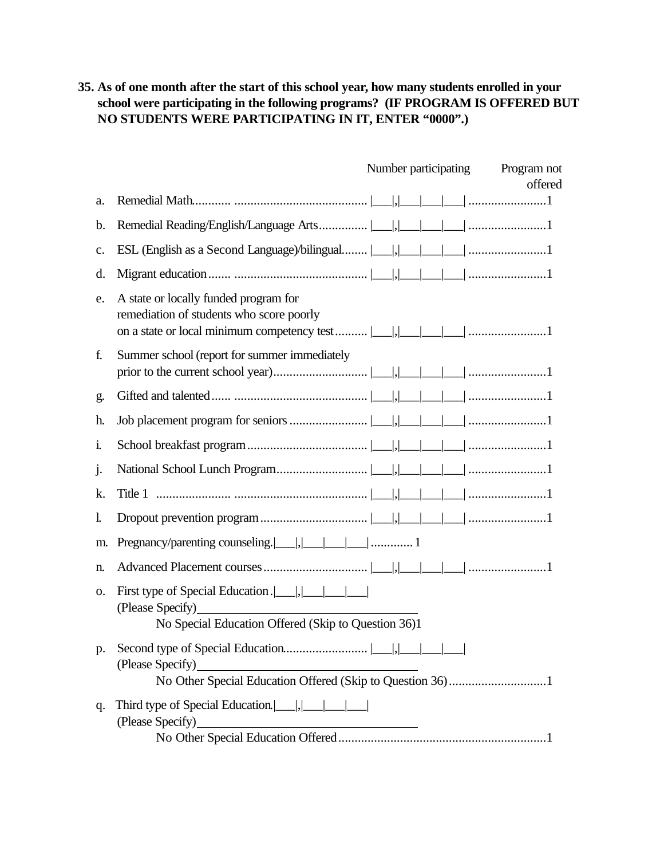**35. As of one month after the start of this school year, how many students enrolled in your school were participating in the following programs? (IF PROGRAM IS OFFERED BUT NO STUDENTS WERE PARTICIPATING IN IT, ENTER "0000".)**

|                |                                                                                                                                            | Number participating Program not |         |
|----------------|--------------------------------------------------------------------------------------------------------------------------------------------|----------------------------------|---------|
|                |                                                                                                                                            |                                  | offered |
| a.             |                                                                                                                                            |                                  |         |
| b.             |                                                                                                                                            |                                  |         |
| $\mathbf{c}$ . |                                                                                                                                            |                                  |         |
| d.             |                                                                                                                                            |                                  |         |
| e.             | A state or locally funded program for<br>remediation of students who score poorly                                                          |                                  |         |
| f.             | Summer school (report for summer immediately                                                                                               |                                  |         |
| g.             |                                                                                                                                            |                                  |         |
| h.             |                                                                                                                                            |                                  |         |
| 1.             |                                                                                                                                            |                                  |         |
| $\cdot$        |                                                                                                                                            |                                  |         |
| k.             |                                                                                                                                            |                                  |         |
| 1.             |                                                                                                                                            |                                  |         |
| m.             |                                                                                                                                            |                                  |         |
| n.             |                                                                                                                                            |                                  |         |
| 0.             | First type of Special Education .                <br>(Please Specify)<br>No Special Education Offered (Skip to Question 36)1               |                                  |         |
| p.             | (Please Specify)                                                                                                                           |                                  |         |
| q.             | Third type of Special Education. $\boxed{\qquad}, \boxed{\qquad}$<br>(Please Specify)<br><u> 1989 - Johann Barnett, fransk politiker (</u> |                                  |         |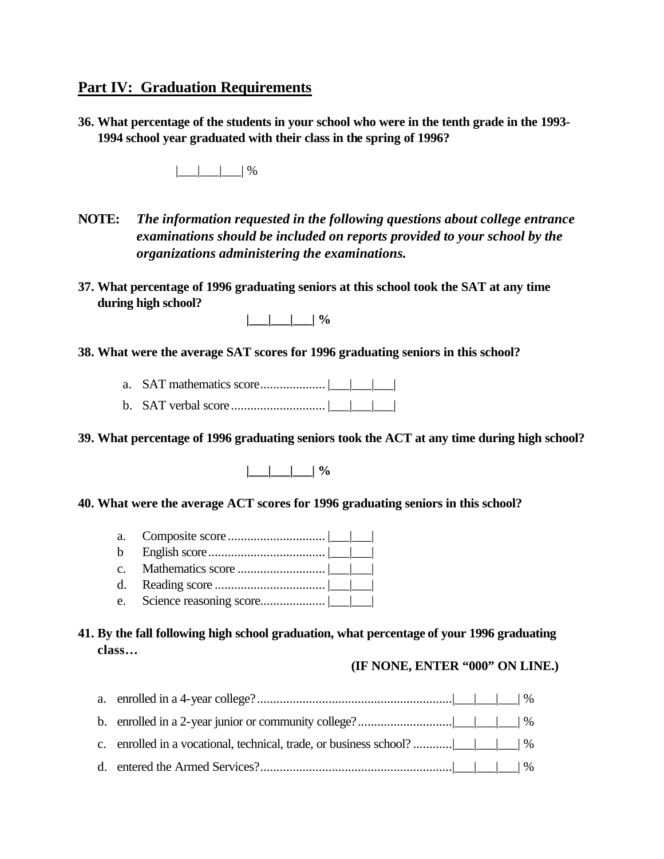# **Part IV: Graduation Requirements**

**36. What percentage of the students in your school who were in the tenth grade in the 1993- 1994 school year graduated with their class in the spring of 1996?**

 $|$  |  $|$  |  $\%$ 

- **NOTE:** *The information requested in the following questions about college entrance examinations should be included on reports provided to your school by the organizations administering the examinations.*
- **37. What percentage of 1996 graduating seniors at this school took the SAT at any time during high school?**

| Λ |  |  |  | 0 / |
|---|--|--|--|-----|
|---|--|--|--|-----|

- **38. What were the average SAT scores for 1996 graduating seniors in this school?**
	- a. SAT mathematics score.................... |\_\_\_|\_\_\_|\_\_\_|
	- b. SAT verbal score............................. |\_\_\_|\_\_\_|\_\_\_|

**39. What percentage of 1996 graduating seniors took the ACT at any time during high school?**

**|\_\_\_|\_\_\_|\_\_\_| %**

- **40. What were the average ACT scores for 1996 graduating seniors in this school?**
	- a. Composite score.............................. |\_\_\_|\_\_\_|
	- b English score.................................... |\_\_\_|\_\_\_|
	- c. Mathematics score ........................... |\_\_\_|\_\_\_|
	- d. Reading score .................................. |\_\_\_|\_\_\_|
	- e. Science reasoning score.................... |\_\_\_|\_\_\_|
- **41. By the fall following high school graduation, what percentage of your 1996 graduating class…**

#### **(IF NONE, ENTER "000" ON LINE.)**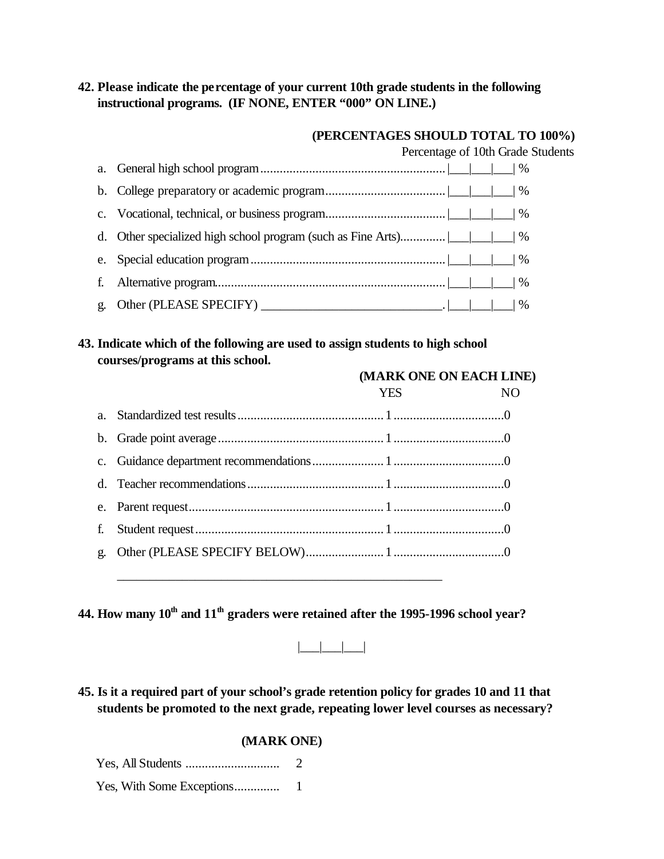### **42. Please indicate the percentage of your current 10th grade students in the following instructional programs. (IF NONE, ENTER "000" ON LINE.)**

#### **(PERCENTAGES SHOULD TOTAL TO 100%)**

Percentage of 10th Grade Students

| f. |                                           |
|----|-------------------------------------------|
|    | g. Other (PLEASE SPECIFY) $\qquad \qquad$ |

#### **43. Indicate which of the following are used to assign students to high school courses/programs at this school.**

|         |            | (MARK ONE ON EACH LINE) |
|---------|------------|-------------------------|
|         | <b>YES</b> | NO                      |
| $a_{-}$ |            |                         |
|         |            |                         |
|         |            |                         |
|         |            |                         |
|         |            |                         |
|         |            |                         |
| g.      |            |                         |
|         |            |                         |

**44. How many 10th and 11th graders were retained after the 1995-1996 school year?**

|\_\_\_|\_\_\_|\_\_\_|

**45. Is it a required part of your school's grade retention policy for grades 10 and 11 that students be promoted to the next grade, repeating lower level courses as necessary?**

|                           | 2 |
|---------------------------|---|
| Yes, With Some Exceptions |   |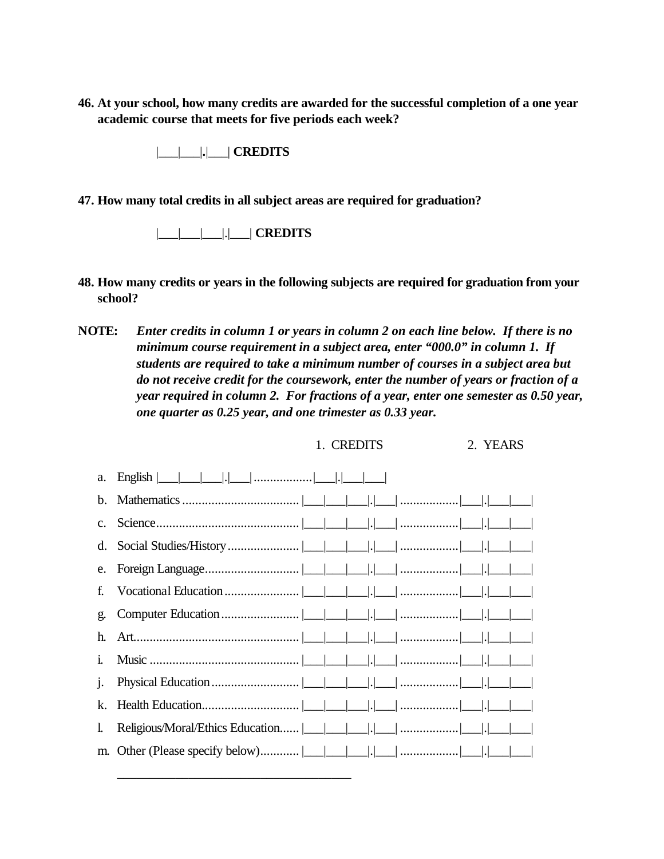**46. At your school, how many credits are awarded for the successful completion of a one year academic course that meets for five periods each week?**

|\_\_\_|\_\_\_|**.**|\_\_\_| **CREDITS**

**47. How many total credits in all subject areas are required for graduation?**

|\_\_\_|\_\_\_|\_\_\_|.|\_\_\_| **CREDITS**

- **48. How many credits or years in the following subjects are required for graduation from your school?**
- **NOTE:** *Enter credits in column 1 or years in column 2 on each line below. If there is no minimum course requirement in a subject area, enter "000.0" in column 1. If students are required to take a minimum number of courses in a subject area but do not receive credit for the coursework, enter the number of years or fraction of a year required in column 2. For fractions of a year, enter one semester as 0.50 year, one quarter as 0.25 year, and one trimester as 0.33 year.*

#### 1. CREDITS 2. YEARS

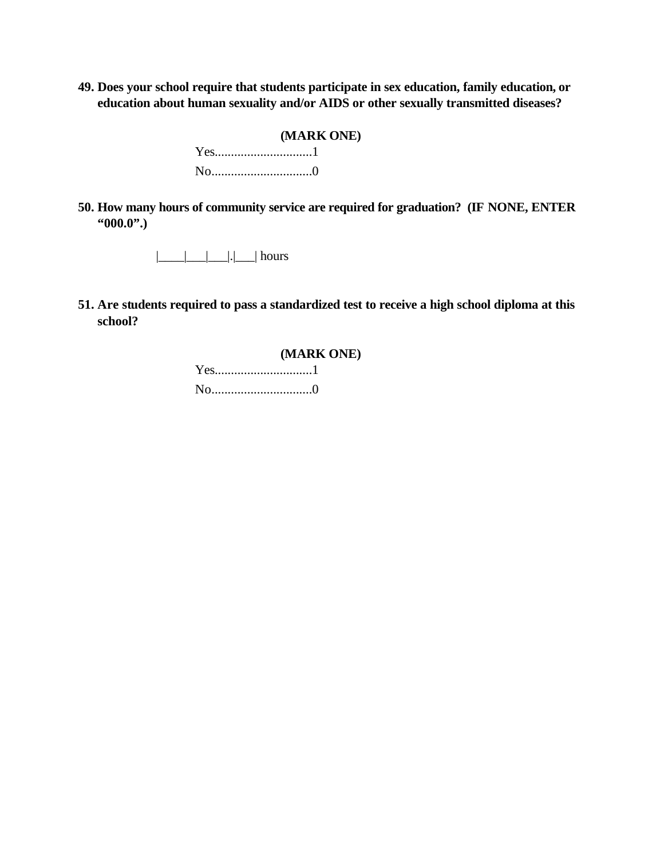**49. Does your school require that students participate in sex education, family education, or education about human sexuality and/or AIDS or other sexually transmitted diseases?**

#### **(MARK ONE)**

Yes..............................1 No...............................0

**50. How many hours of community service are required for graduation? (IF NONE, ENTER "000.0".)**

 $|\_$ |  $|\_$ |  $|\_$ | hours

**51. Are students required to pass a standardized test to receive a high school diploma at this school?**

#### **(MARK ONE)**

Yes..............................1 No...............................0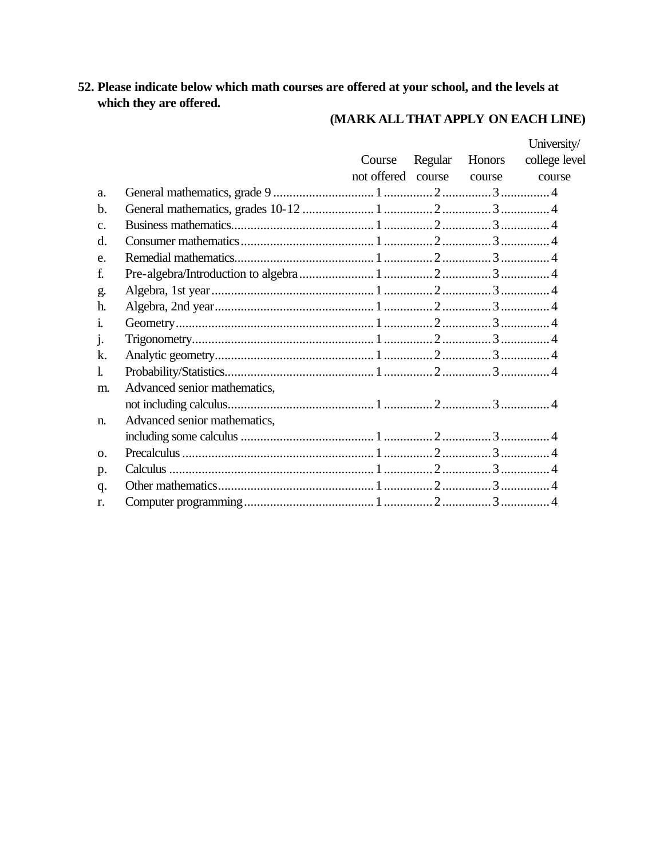# 52. Please indicate below which math courses are offered at your school, and the levels at which they are offered.

# (MARK ALL THAT APPLY ON EACH LINE)

|                              |        |         |        | University/               |
|------------------------------|--------|---------|--------|---------------------------|
|                              | Course | Regular | Honors | college level             |
|                              |        |         |        | course                    |
|                              |        |         |        |                           |
|                              |        |         |        |                           |
|                              |        |         |        |                           |
|                              |        |         |        |                           |
|                              |        |         |        |                           |
|                              |        |         |        |                           |
|                              |        |         |        |                           |
|                              |        |         |        |                           |
|                              |        |         |        |                           |
|                              |        |         |        |                           |
|                              |        |         |        |                           |
|                              |        |         |        |                           |
| Advanced senior mathematics, |        |         |        |                           |
|                              |        |         |        |                           |
| Advanced senior mathematics, |        |         |        |                           |
|                              |        |         |        |                           |
|                              |        |         |        |                           |
|                              |        |         |        |                           |
|                              |        |         |        |                           |
|                              |        |         |        |                           |
|                              |        |         |        | not offered course course |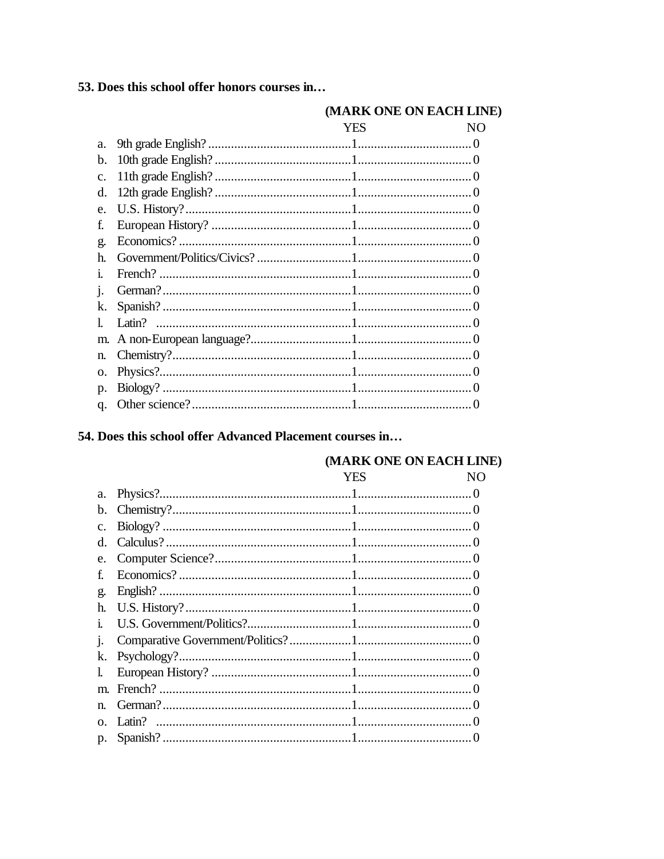53. Does this school offer honors courses in...

|                 |     | (MARK ONE ON EACH LINE) |
|-----------------|-----|-------------------------|
|                 | YES | NO.                     |
| a.              |     |                         |
| b.              |     |                         |
| $\mathcal{C}$ . |     |                         |
| d.              |     |                         |
| e.              |     |                         |
| £               |     |                         |
| g.              |     |                         |
| h.              |     |                         |
| Ť.              |     |                         |
| 1.              |     |                         |
| k.              |     |                         |
|                 |     |                         |
| m.              |     |                         |
| n.              |     |                         |
| Ω.              |     |                         |
| $\mathfrak{D}.$ |     |                         |
| q.              |     |                         |

# 54. Does this school offer Advanced Placement courses in...

### (MARK ONE ON EACH LINE)

|              | YES<br>NO |  |
|--------------|-----------|--|
| a.           |           |  |
| b.           |           |  |
| c.           |           |  |
| d.           |           |  |
| e.           |           |  |
| £            |           |  |
| g.           |           |  |
| h.           |           |  |
| $\mathbf{1}$ |           |  |
|              |           |  |
| k.           |           |  |
|              |           |  |
| m.           |           |  |
| $\mathbf{n}$ |           |  |
| $\Omega$     |           |  |
| p.           |           |  |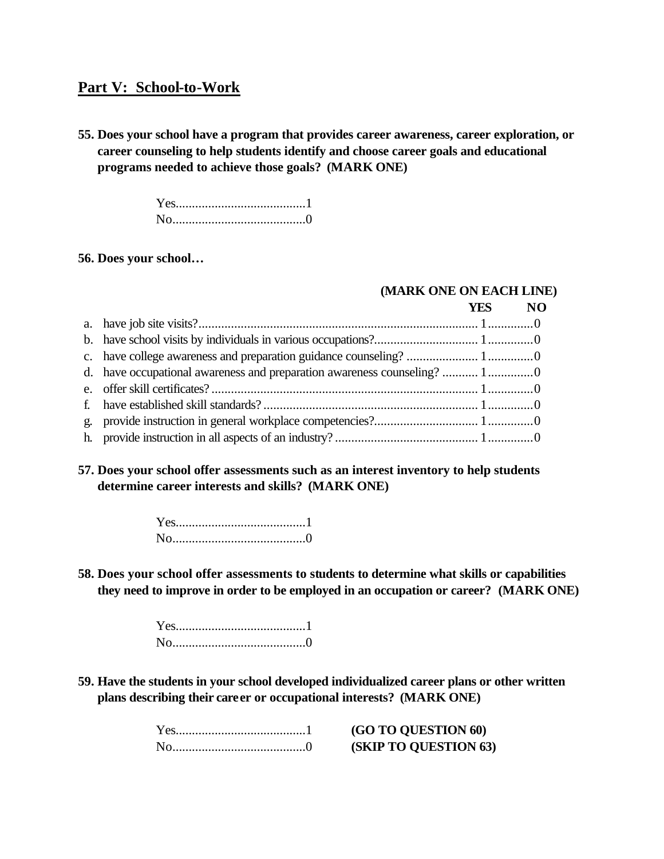# **Part V: School-to-Work**

**55. Does your school have a program that provides career awareness, career exploration, or career counseling to help students identify and choose career goals and educational programs needed to achieve those goals? (MARK ONE)**

> Yes........................................1 No.........................................0

#### **56. Does your school…**

#### **(MARK ONE ON EACH LINE)**

|  | YES NO |  |
|--|--------|--|
|  |        |  |
|  |        |  |
|  |        |  |
|  |        |  |
|  |        |  |
|  |        |  |
|  |        |  |
|  |        |  |

#### **57. Does your school offer assessments such as an interest inventory to help students determine career interests and skills? (MARK ONE)**

**58. Does your school offer assessments to students to determine what skills or capabilities they need to improve in order to be employed in an occupation or career? (MARK ONE)**

> Yes........................................1 No.........................................0

**59. Have the students in your school developed individualized career plans or other written plans describing their career or occupational interests? (MARK ONE)**

| <b>(GO TO QUESTION 60)</b>   |
|------------------------------|
| <b>(SKIP TO QUESTION 63)</b> |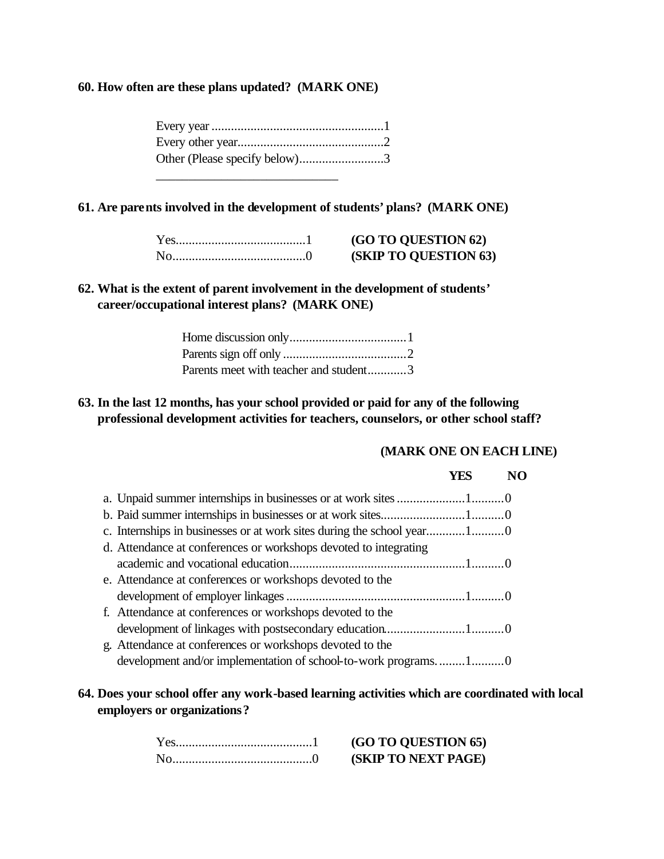#### **60. How often are these plans updated? (MARK ONE)**

| Other (Please specify below)3 |  |
|-------------------------------|--|
|                               |  |

#### **61. Are parents involved in the development of students' plans? (MARK ONE)**

| <b>(GO TO QUESTION 62)</b>   |
|------------------------------|
| <b>(SKIP TO QUESTION 63)</b> |

#### **62. What is the extent of parent involvement in the development of students' career/occupational interest plans? (MARK ONE)**

| Parents meet with teacher and student3 |  |
|----------------------------------------|--|

#### **63. In the last 12 months, has your school provided or paid for any of the following professional development activities for teachers, counselors, or other school staff?**

#### **(MARK ONE ON EACH LINE)**

# **YES NO**

| c. Internships in businesses or at work sites during the school year10 |  |
|------------------------------------------------------------------------|--|
| d. Attendance at conferences or workshops devoted to integrating       |  |
|                                                                        |  |
| e. Attendance at conferences or workshops devoted to the               |  |
|                                                                        |  |
| f. Attendance at conferences or workshops devoted to the               |  |
|                                                                        |  |
| g. Attendance at conferences or workshops devoted to the               |  |
| development and/or implementation of school-to-work programs10         |  |

#### **64. Does your school offer any work-based learning activities which are coordinated with local employers or organizations?**

Yes..........................................1 **(GO TO QUESTION 65) (SKIP TO NEXT PAGE)**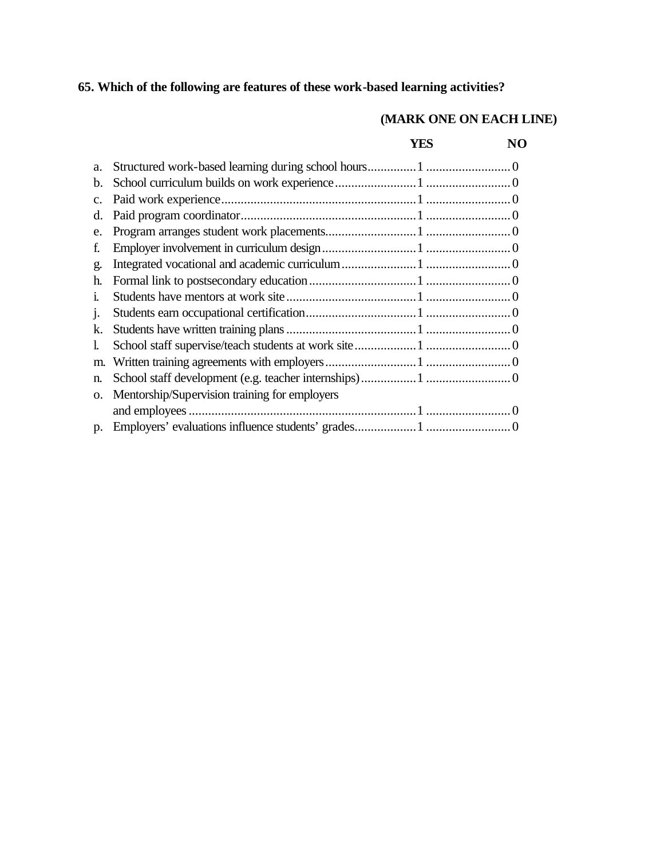# **65. Which of the following are features of these work-based learning activities?**

## **(MARK ONE ON EACH LINE)**

#### **YES NO**

| a.           |                                               |
|--------------|-----------------------------------------------|
| b.           |                                               |
| c.           |                                               |
| d.           |                                               |
| e.           |                                               |
| f.           |                                               |
| g.           |                                               |
| h.           |                                               |
| $\mathbf{1}$ |                                               |
| 1.           |                                               |
| k.           |                                               |
| L            |                                               |
| m.           |                                               |
| n.           |                                               |
| O.           | Mentorship/Supervision training for employers |
|              |                                               |
|              |                                               |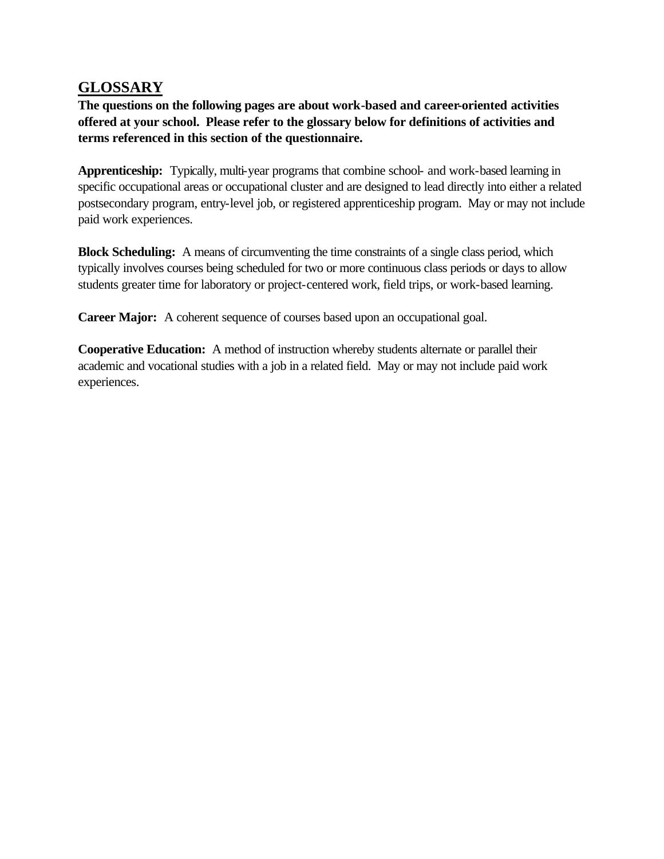# **GLOSSARY**

**The questions on the following pages are about work-based and career-oriented activities offered at your school. Please refer to the glossary below for definitions of activities and terms referenced in this section of the questionnaire.**

**Apprenticeship:** Typically, multi-year programs that combine school- and work-based learning in specific occupational areas or occupational cluster and are designed to lead directly into either a related postsecondary program, entry-level job, or registered apprenticeship program. May or may not include paid work experiences.

**Block Scheduling:** A means of circumventing the time constraints of a single class period, which typically involves courses being scheduled for two or more continuous class periods or days to allow students greater time for laboratory or project-centered work, field trips, or work-based learning.

**Career Major:** A coherent sequence of courses based upon an occupational goal.

**Cooperative Education:** A method of instruction whereby students alternate or parallel their academic and vocational studies with a job in a related field. May or may not include paid work experiences.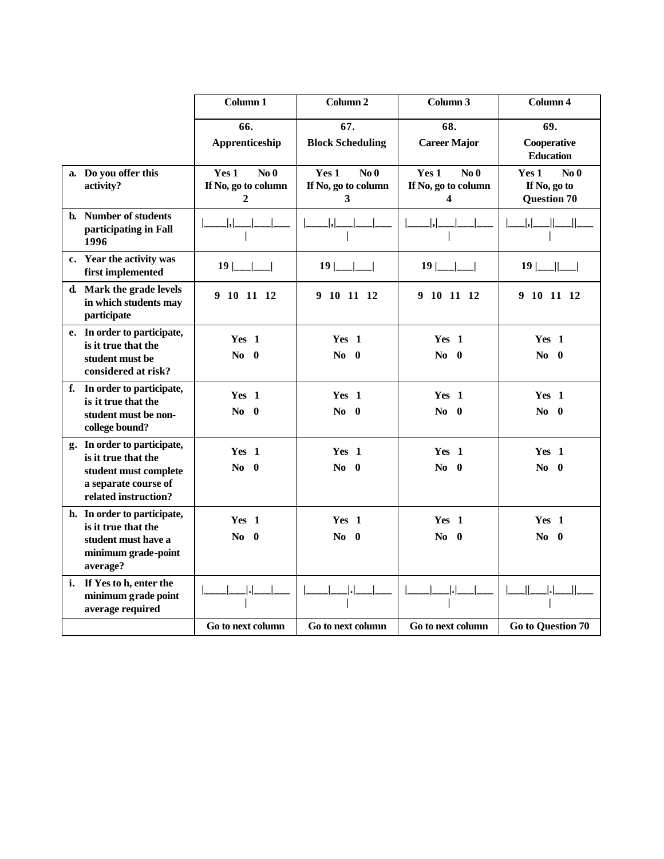|    |                                                                                                                             | Column 1                                                          | Column <sub>2</sub>                                        | Column 3                                             | Column 4                                                       |
|----|-----------------------------------------------------------------------------------------------------------------------------|-------------------------------------------------------------------|------------------------------------------------------------|------------------------------------------------------|----------------------------------------------------------------|
|    |                                                                                                                             | 66.<br>Apprenticeship                                             | 67.<br><b>Block Scheduling</b>                             | 68.<br><b>Career Major</b>                           | 69.<br>Cooperative<br><b>Education</b>                         |
|    | a. Do you offer this<br>activity?                                                                                           | Yes 1<br>No <sub>0</sub><br>If No, go to column<br>$\overline{2}$ | Yes <sub>1</sub><br>$\bf No$ 0<br>If No, go to column<br>3 | Yes 1<br>No <sub>0</sub><br>If No, go to column<br>4 | Yes 1<br>No <sub>0</sub><br>If No, go to<br><b>Question 70</b> |
|    | b. Number of students<br>participating in Fall<br>1996                                                                      |                                                                   |                                                            |                                                      |                                                                |
|    | c. Year the activity was<br>first implemented                                                                               | $19$  __ __                                                       | $19$  __ __                                                | $19$  ___ ___                                        | $19$  ___  ___                                                 |
|    | d. Mark the grade levels<br>in which students may<br>participate                                                            | 9 10 11 12                                                        | 9 10 11 12                                                 | 9 10 11 12                                           | 9 10 11 12                                                     |
|    | e. In order to participate,<br>is it true that the<br>student must be<br>considered at risk?                                | Yes 1<br>$\bf{No}$ 0                                              | Yes 1<br>$\bf{No}$ 0                                       | Yes 1<br>$\bf{No}$ 0                                 | Yes 1<br>$\bf{No}$ 0                                           |
|    | f. In order to participate,<br>is it true that the<br>student must be non-<br>college bound?                                | Yes 1<br>$No$ 0                                                   | Yes 1<br>$\bf No$ 0                                        | Yes 1<br>No.<br>- 0                                  | Yes 1<br>$\bf No$ 0                                            |
|    | g. In order to participate,<br>is it true that the<br>student must complete<br>a separate course of<br>related instruction? | Yes 1<br>$\bf{No}$ 0                                              | Yes 1<br>$\bf No$ 0                                        | Yes 1<br>No.<br>$\bf{0}$                             | Yes 1<br>$\bf No$ 0                                            |
|    | h. In order to participate,<br>is it true that the<br>student must have a<br>minimum grade-point<br>average?                | Yes <sub>1</sub><br>$\bf No$ 0                                    | Yes 1<br>$\bf{No}$ 0                                       | Yes 1<br>$\bf No$ 0                                  | Yes 1<br>$\bf{No}$ 0                                           |
| i. | If Yes to h, enter the<br>minimum grade point<br>average required                                                           |                                                                   |                                                            |                                                      |                                                                |
|    |                                                                                                                             | Go to next column                                                 | Go to next column                                          | Go to next column                                    | <b>Go to Question 70</b>                                       |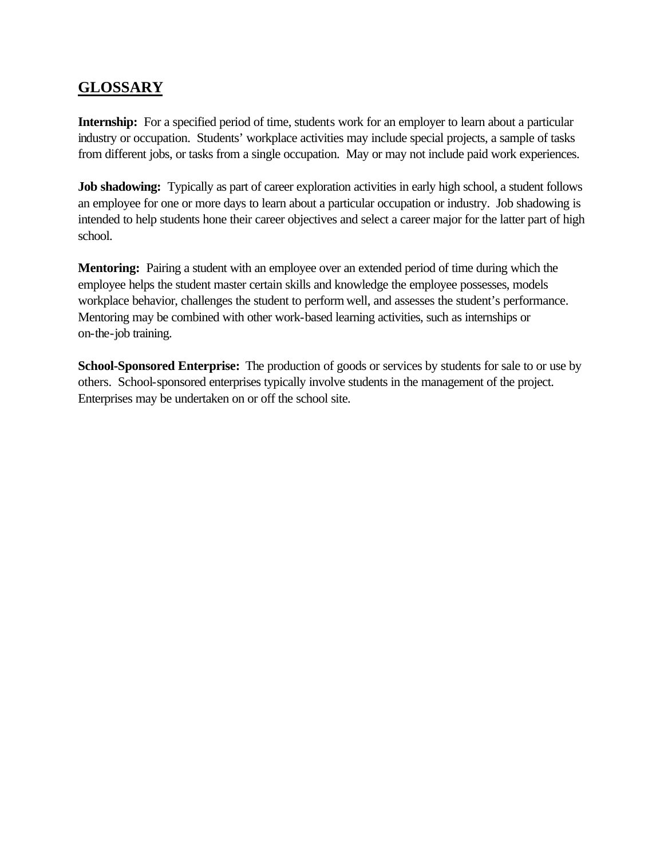# **GLOSSARY**

**Internship:** For a specified period of time, students work for an employer to learn about a particular industry or occupation. Students' workplace activities may include special projects, a sample of tasks from different jobs, or tasks from a single occupation. May or may not include paid work experiences.

**Job shadowing:** Typically as part of career exploration activities in early high school, a student follows an employee for one or more days to learn about a particular occupation or industry. Job shadowing is intended to help students hone their career objectives and select a career major for the latter part of high school.

**Mentoring:** Pairing a student with an employee over an extended period of time during which the employee helps the student master certain skills and knowledge the employee possesses, models workplace behavior, challenges the student to perform well, and assesses the student's performance. Mentoring may be combined with other work-based learning activities, such as internships or on-the-job training.

**School-Sponsored Enterprise:** The production of goods or services by students for sale to or use by others. School-sponsored enterprises typically involve students in the management of the project. Enterprises may be undertaken on or off the school site.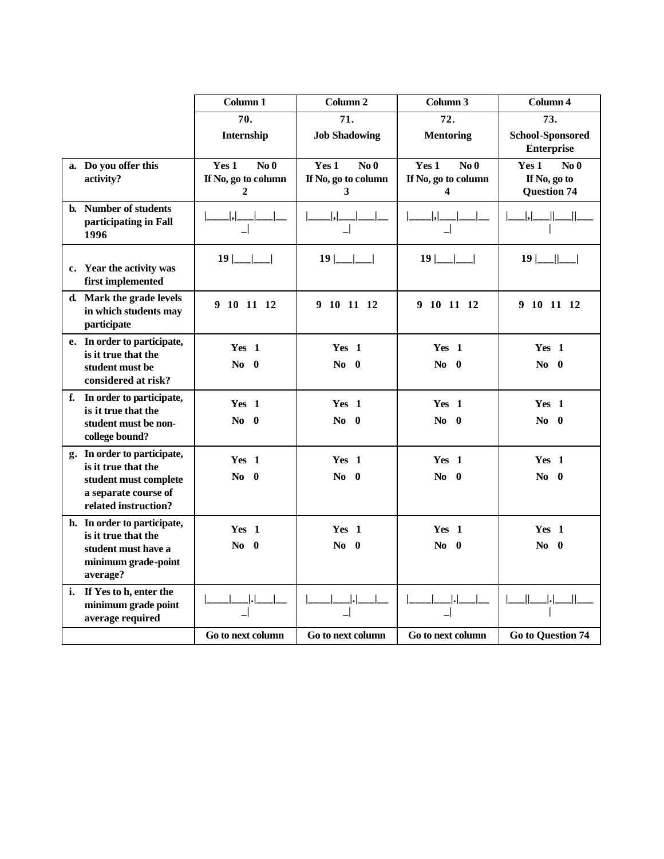|    |                                                                                                                             | Column 1                                                        | Column <sub>2</sub>                                  | Column 3                                                                   | Column 4                                                  |
|----|-----------------------------------------------------------------------------------------------------------------------------|-----------------------------------------------------------------|------------------------------------------------------|----------------------------------------------------------------------------|-----------------------------------------------------------|
|    |                                                                                                                             | 70.                                                             | 71.                                                  | 72.                                                                        | 73.                                                       |
|    |                                                                                                                             | Internship                                                      | <b>Job Shadowing</b>                                 | <b>School-Sponsored</b><br><b>Mentoring</b><br><b>Enterprise</b>           |                                                           |
|    | a. Do you offer this<br>activity?                                                                                           | No <sub>0</sub><br>Yes 1<br>If No, go to column<br>$\mathbf{2}$ | No <sub>0</sub><br>Yes 1<br>If No, go to column<br>3 | Yes 1<br>No <sub>0</sub><br>If No, go to column<br>$\overline{\mathbf{4}}$ | Yes 1<br>$\bf No$ 0<br>If No, go to<br><b>Question 74</b> |
|    | b. Number of students<br>participating in Fall<br>1996                                                                      | ,                                                               | ,                                                    |                                                                            |                                                           |
|    | c. Year the activity was<br>first implemented                                                                               |                                                                 | $19$  ___ ___                                        | $19$ $\lfloor$ $\lfloor$ $\rfloor$                                         | $19$ $\frac{ }{ }$                                        |
|    | d. Mark the grade levels<br>in which students may<br>participate                                                            | 9 10 11 12                                                      | 9 10 11 12                                           | 9 10 11 12                                                                 | 9 10 11 12                                                |
|    | e. In order to participate,<br>is it true that the<br>student must be<br>considered at risk?                                | Yes 1<br>$\bf{No}$ 0                                            | Yes 1<br>$\bf{No}$ 0                                 | Yes 1<br>$\bf{No}$ 0                                                       | Yes 1<br>$\bf{No}$ 0                                      |
|    | f. In order to participate,<br>is it true that the<br>student must be non-<br>college bound?                                | Yes 1<br>$\bf{No}$ 0                                            | Yes 1<br>No.<br>- 0                                  | Yes 1<br>$\bf{No}$ 0                                                       | Yes 1<br>$\bf{No}$ 0                                      |
|    | g. In order to participate,<br>is it true that the<br>student must complete<br>a separate course of<br>related instruction? | Yes 1<br>$No = 0$                                               | Yes 1<br>No.<br>- 0                                  | Yes 1<br>$\bf{No}$ 0                                                       | Yes 1<br>$\bf{No}$ 0                                      |
|    | h. In order to participate,<br>is it true that the<br>student must have a<br>minimum grade-point<br>average?                | Yes <sub>1</sub><br>$\bf{No}$ 0                                 | Yes 1<br>$\bf{No}$ 0                                 | Yes 1<br>$\bf{No}$ 0                                                       | Yes 1<br>$\bf{No}$ 0                                      |
| i. | If Yes to h, enter the<br>minimum grade point<br>average required                                                           |                                                                 |                                                      |                                                                            |                                                           |
|    |                                                                                                                             | Go to next column                                               | Go to next column                                    | Go to next column                                                          | <b>Go to Question 74</b>                                  |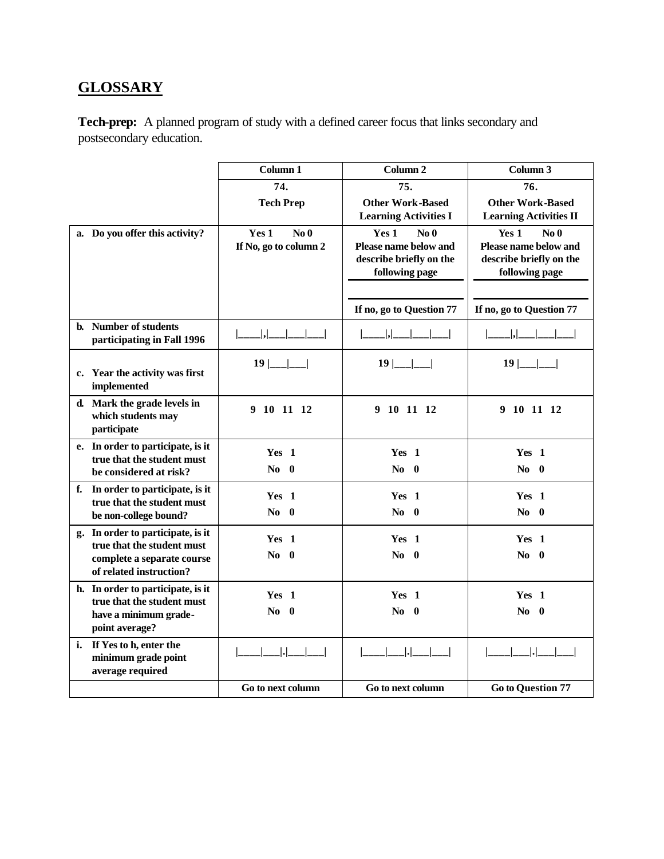# **GLOSSARY**

**Tech-prep:** A planned program of study with a defined career focus that links secondary and postsecondary education.

|                                                                      | Column 1                                          | Column <sub>2</sub>                                                                            | Column 3                                                                                       |
|----------------------------------------------------------------------|---------------------------------------------------|------------------------------------------------------------------------------------------------|------------------------------------------------------------------------------------------------|
|                                                                      | 74.                                               | 75.                                                                                            | 76.                                                                                            |
|                                                                      | <b>Tech Prep</b>                                  | <b>Other Work-Based</b>                                                                        | <b>Other Work-Based</b>                                                                        |
|                                                                      |                                                   | <b>Learning Activities I</b>                                                                   | <b>Learning Activities II</b>                                                                  |
| a. Do you offer this activity?                                       | No <sub>0</sub><br>Yes 1<br>If No, go to column 2 | Yes 1<br>No <sub>0</sub><br>Please name below and<br>describe briefly on the<br>following page | Yes 1<br>No <sub>0</sub><br>Please name below and<br>describe briefly on the<br>following page |
|                                                                      |                                                   |                                                                                                |                                                                                                |
|                                                                      |                                                   | If no, go to Question 77                                                                       | If no, go to Question 77                                                                       |
| b. Number of students<br>participating in Fall 1996                  | ,                                                 | . .                                                                                            | ,                                                                                              |
| c. Year the activity was first<br>implemented                        | $19$  __                                          | $19$  ___                                                                                      | 19                                                                                             |
| d. Mark the grade levels in<br>which students may<br>participate     | 9 10 11 12                                        | 9 10 11 12                                                                                     | 9 10 11 12                                                                                     |
| e. In order to participate, is it                                    | Yes 1                                             | Yes 1                                                                                          | Yes 1                                                                                          |
| true that the student must<br>be considered at risk?                 | $\bf{No}$ 0                                       | $\bf{No}$ 0                                                                                    | $\bf{No}$ 0                                                                                    |
| f. In order to participate, is it                                    | Yes <sub>1</sub>                                  | Yes <sub>1</sub>                                                                               | Yes 1                                                                                          |
| true that the student must<br>be non-college bound?                  | $\bf{No}$ 0                                       | $No$ 0                                                                                         | $No = 0$                                                                                       |
| g. In order to participate, is it                                    | Yes <sub>1</sub>                                  | Yes 1                                                                                          | Yes 1                                                                                          |
| true that the student must<br>complete a separate course             | $\bf{No}$ 0                                       | $\bf{No}$ 0                                                                                    | $\bf{No}$ 0                                                                                    |
| of related instruction?                                              |                                                   |                                                                                                |                                                                                                |
| h. In order to participate, is it<br>true that the student must      | Yes 1                                             | Yes 1                                                                                          | Yes 1                                                                                          |
| have a minimum grade-                                                | $\bf{No}$ 0                                       | $No$ 0                                                                                         | $\bf{No}$ 0                                                                                    |
| point average?                                                       |                                                   |                                                                                                |                                                                                                |
| i. If Yes to h, enter the<br>minimum grade point<br>average required |                                                   |                                                                                                |                                                                                                |
|                                                                      | Go to next column                                 | Go to next column                                                                              | <b>Go to Question 77</b>                                                                       |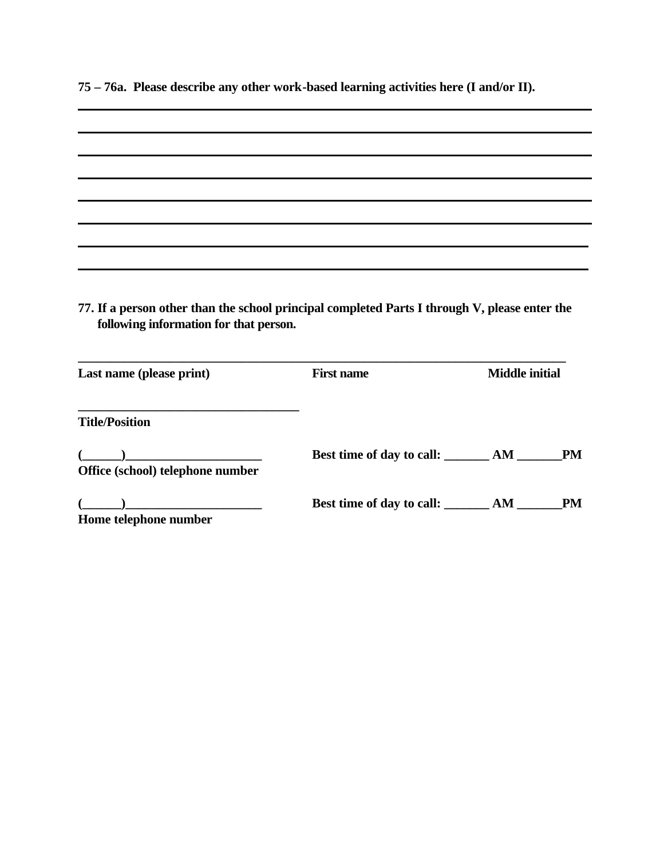**75 – 76a. Please describe any other work-based learning activities here (I and/or II).**

| 77. If a person other than the school principal completed Parts I through V, please enter the<br>following information for that person.                                                                                                                                                                                                                             |                                             |                       |           |
|---------------------------------------------------------------------------------------------------------------------------------------------------------------------------------------------------------------------------------------------------------------------------------------------------------------------------------------------------------------------|---------------------------------------------|-----------------------|-----------|
| Last name (please print)                                                                                                                                                                                                                                                                                                                                            | <b>First name</b>                           | <b>Middle initial</b> |           |
| <b>Title/Position</b>                                                                                                                                                                                                                                                                                                                                               |                                             |                       |           |
|                                                                                                                                                                                                                                                                                                                                                                     |                                             |                       |           |
| $\begin{picture}(20,10) \put(0,0){\vector(1,0){100}} \put(15,0){\vector(1,0){100}} \put(15,0){\vector(1,0){100}} \put(15,0){\vector(1,0){100}} \put(15,0){\vector(1,0){100}} \put(15,0){\vector(1,0){100}} \put(15,0){\vector(1,0){100}} \put(15,0){\vector(1,0){100}} \put(15,0){\vector(1,0){100}} \put(15,0){\vector(1,0){100}} \put(15,0){\vector(1,0){100}} \$ |                                             |                       | <b>PM</b> |
| Office (school) telephone number                                                                                                                                                                                                                                                                                                                                    | Best time of day to call: _______ AM ______ |                       |           |
| $\begin{picture}(20,10) \put(0,0){\vector(1,0){100}} \put(15,0){\vector(1,0){100}} \put(15,0){\vector(1,0){100}} \put(15,0){\vector(1,0){100}} \put(15,0){\vector(1,0){100}} \put(15,0){\vector(1,0){100}} \put(15,0){\vector(1,0){100}} \put(15,0){\vector(1,0){100}} \put(15,0){\vector(1,0){100}} \put(15,0){\vector(1,0){100}} \put(15,0){\vector(1,0){100}} \$ | Best time of day to call: _______ AM ______ |                       | <b>PM</b> |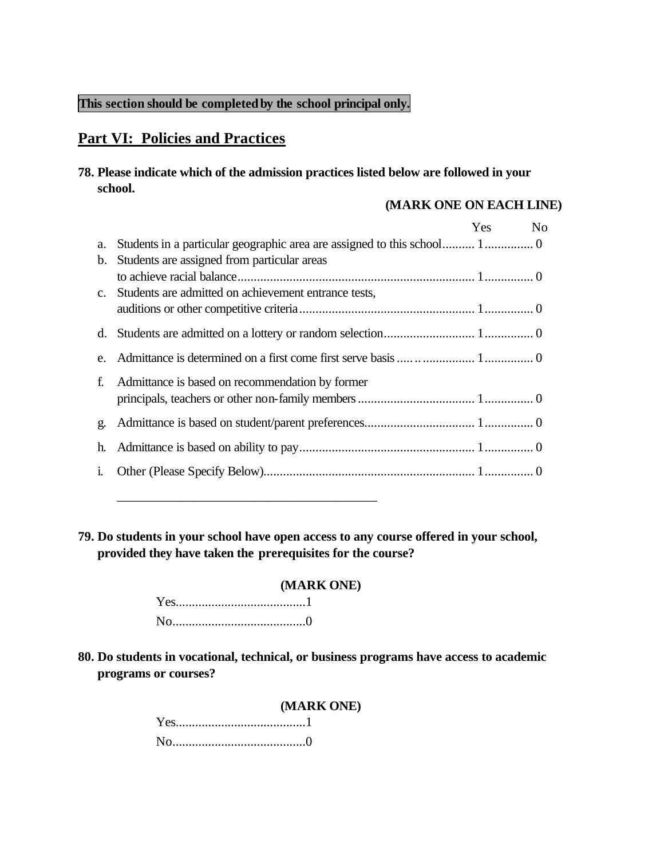### **This section should be completedby the school principal only.**

# **Part VI: Policies and Practices**

#### **78. Please indicate which of the admission practices listed below are followed in your school.**

#### **(MARK ONE ON EACH LINE)**

|    |                                                         | Yes No |  |
|----|---------------------------------------------------------|--------|--|
| a. |                                                         |        |  |
| b. | Students are assigned from particular areas             |        |  |
|    |                                                         |        |  |
|    | c. Students are admitted on achievement entrance tests, |        |  |
|    |                                                         |        |  |
|    |                                                         |        |  |
|    |                                                         |        |  |
| f. | Admittance is based on recommendation by former         |        |  |
|    |                                                         |        |  |
| g. |                                                         |        |  |
| h. |                                                         |        |  |
|    |                                                         |        |  |

**79. Do students in your school have open access to any course offered in your school, provided they have taken the prerequisites for the course?**

#### **(MARK ONE)**

\_\_\_\_\_\_\_\_\_\_\_\_\_\_\_\_\_\_\_\_\_\_\_\_\_\_\_\_\_\_\_\_\_\_\_\_\_\_\_\_

**80. Do students in vocational, technical, or business programs have access to academic programs or courses?**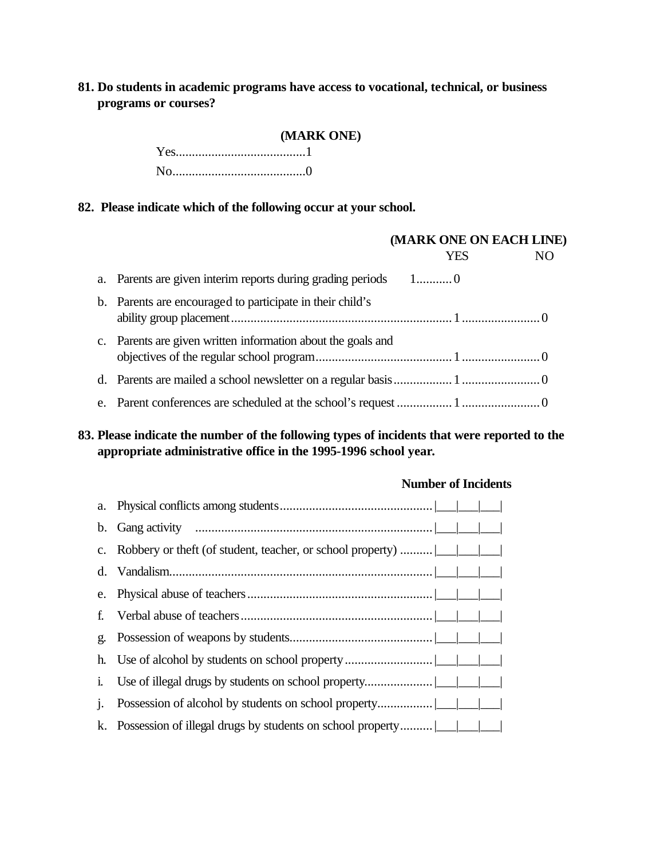## **81. Do students in academic programs have access to vocational, technical, or business programs or courses?**

#### **(MARK ONE)**

Yes........................................1 No.........................................0

#### **82. Please indicate which of the following occur at your school.**

|                                                                | (MARK ONE ON EACH LINE) |            |                |
|----------------------------------------------------------------|-------------------------|------------|----------------|
|                                                                |                         | <b>YES</b> | N <sub>O</sub> |
| a. Parents are given interim reports during grading periods 10 |                         |            |                |
| b. Parents are encouraged to participate in their child's      |                         |            |                |
| c. Parents are given written information about the goals and   |                         |            |                |
|                                                                |                         |            |                |
|                                                                |                         |            |                |

# **83. Please indicate the number of the following types of incidents that were reported to the appropriate administrative office in the 1995-1996 school year.**

|              |                                                               |  |  |  | <b>Number of Incidents</b> |  |
|--------------|---------------------------------------------------------------|--|--|--|----------------------------|--|
|              |                                                               |  |  |  |                            |  |
|              |                                                               |  |  |  |                            |  |
|              | c. Robbery or theft (of student, teacher, or school property) |  |  |  |                            |  |
|              |                                                               |  |  |  |                            |  |
| e.           |                                                               |  |  |  |                            |  |
| f.           |                                                               |  |  |  |                            |  |
| g.           |                                                               |  |  |  |                            |  |
|              |                                                               |  |  |  |                            |  |
| $\mathbf{1}$ |                                                               |  |  |  |                            |  |
| $\mathbf{1}$ |                                                               |  |  |  |                            |  |
|              |                                                               |  |  |  |                            |  |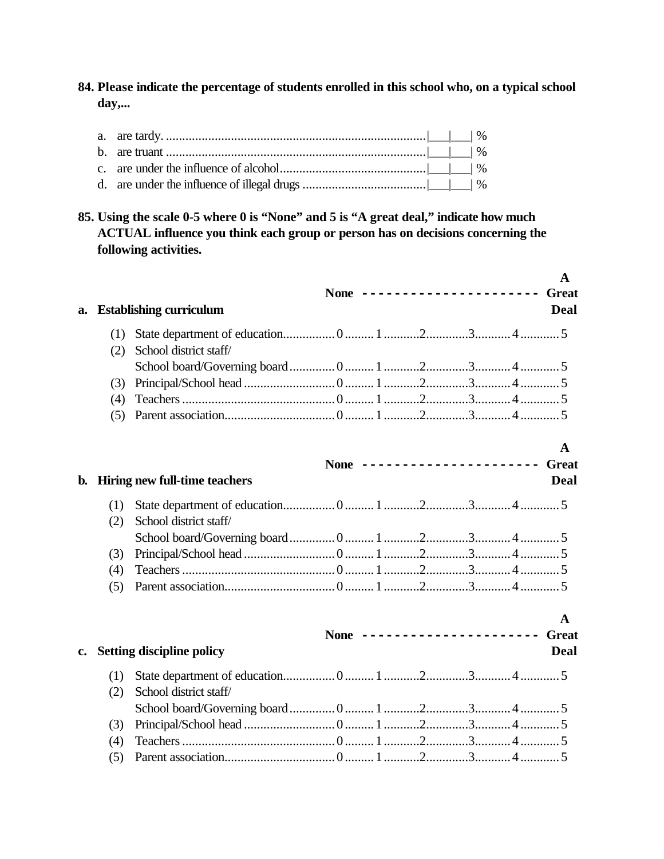**84. Please indicate the percentage of students enrolled in this school who, on a typical school day,...**

**85. Using the scale 0-5 where 0 is "None" and 5 is "A great deal," indicate how much ACTUAL influence you think each group or person has on decisions concerning the following activities.**

|               |     |                                  |  |                              |  | $\mathbf{A}$  |
|---------------|-----|----------------------------------|--|------------------------------|--|---------------|
| a.            |     | <b>Establishing curriculum</b>   |  | None ----------------------  |  | Great<br>Deal |
|               | (1) |                                  |  |                              |  |               |
|               | (2) | School district staff/           |  |                              |  |               |
|               |     |                                  |  |                              |  |               |
|               | (3) |                                  |  |                              |  |               |
|               | (4) |                                  |  |                              |  |               |
|               | (5) |                                  |  |                              |  |               |
|               |     |                                  |  |                              |  | A             |
|               |     |                                  |  | None ----------------------- |  | <b>Great</b>  |
| b.            |     | Hiring new full-time teachers    |  |                              |  | Deal          |
|               | (1) |                                  |  |                              |  |               |
|               | (2) | School district staff/           |  |                              |  |               |
|               |     |                                  |  |                              |  |               |
|               | (3) |                                  |  |                              |  |               |
|               | (4) |                                  |  |                              |  |               |
|               | (5) |                                  |  |                              |  |               |
|               |     |                                  |  |                              |  | $\mathbf{A}$  |
|               |     |                                  |  | None ----------------------  |  | <b>Great</b>  |
| $c_{\bullet}$ |     | <b>Setting discipline policy</b> |  |                              |  | <b>Deal</b>   |
|               | (1) |                                  |  |                              |  |               |
|               | (2) | School district staff/           |  |                              |  |               |
|               |     |                                  |  |                              |  |               |
|               | (3) |                                  |  |                              |  |               |
|               | (4) |                                  |  |                              |  |               |
|               | (5) |                                  |  |                              |  |               |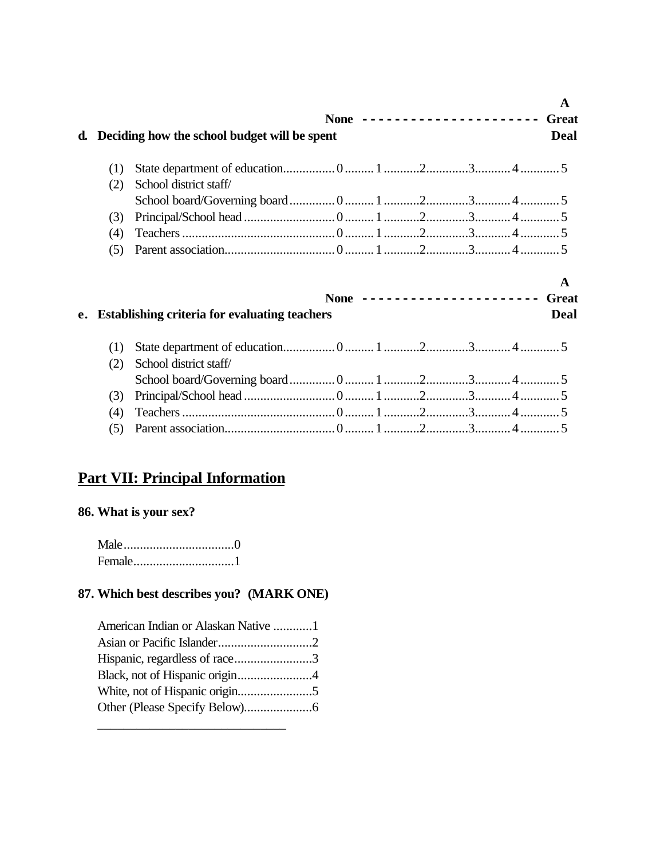|    |     |                                                      |  |                              |  | A                         |
|----|-----|------------------------------------------------------|--|------------------------------|--|---------------------------|
|    |     |                                                      |  | None ----------------------- |  | <b>Great</b>              |
| d. |     | Deciding how the school budget will be spent         |  |                              |  | <b>Deal</b>               |
|    | (1) |                                                      |  |                              |  |                           |
|    | (2) | School district staff/                               |  |                              |  |                           |
|    |     |                                                      |  |                              |  |                           |
|    | (3) |                                                      |  |                              |  |                           |
|    | (4) |                                                      |  |                              |  |                           |
|    | (5) |                                                      |  |                              |  |                           |
|    |     |                                                      |  |                              |  |                           |
| e. |     | <b>Establishing criteria for evaluating teachers</b> |  | None ----------------------  |  | A<br><b>Great</b><br>Deal |
|    | (1) |                                                      |  |                              |  |                           |
|    | (2) | School district staff/                               |  |                              |  |                           |
|    |     |                                                      |  |                              |  |                           |
|    | (3) |                                                      |  |                              |  |                           |
|    | (4) |                                                      |  |                              |  |                           |

# **Part VII: Principal Information**

# **86. What is your sex?**

# **87. Which best describes you? (MARK ONE)**

| American Indian or Alaskan Native 1 |  |
|-------------------------------------|--|
|                                     |  |
| Hispanic, regardless of race3       |  |
| Black, not of Hispanic origin4      |  |
|                                     |  |
|                                     |  |

\_\_\_\_\_\_\_\_\_\_\_\_\_\_\_\_\_\_\_\_\_\_\_\_\_\_\_\_\_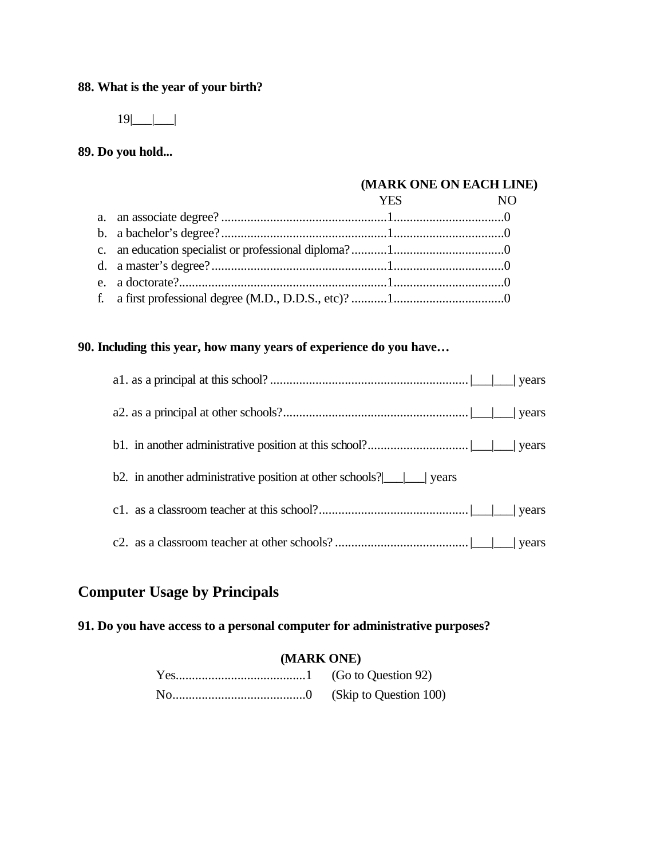# **88. What is the year of your birth?**

 $19$ |\_\_|\_\_|

# **89. Do you hold...**

#### **(MARK ONE ON EACH LINE)**

#### **90. Including this year, how many years of experience do you have…**

| b2. in another administrative position at other schools? $\boxed{\underline{\hspace{1cm}}\phantom{1}}$ years |
|--------------------------------------------------------------------------------------------------------------|
|                                                                                                              |
|                                                                                                              |

# **Computer Usage by Principals**

**91. Do you have access to a personal computer for administrative purposes?**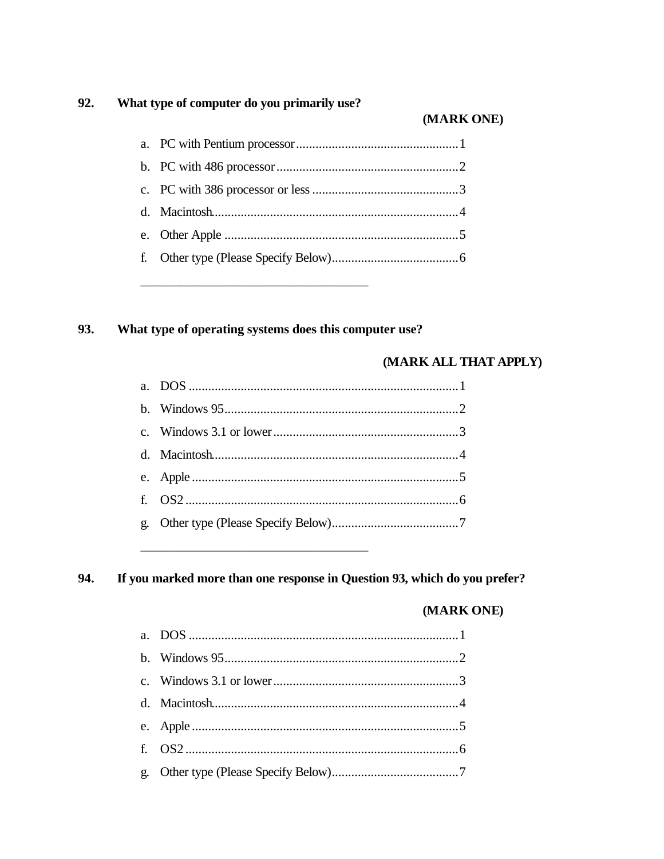#### 92. What type of computer do you primarily use?

### (MARK ONE)

#### 93. What type of operating systems does this computer use?

#### (MARK ALL THAT APPLY)

#### 94. If you marked more than one response in Question 93, which do you prefer?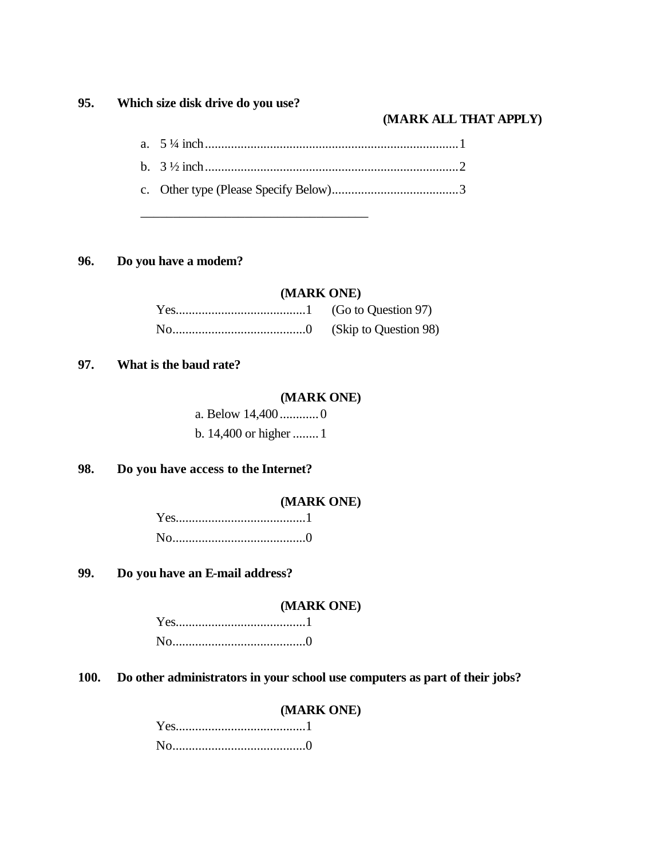### **95. Which size disk drive do you use?**

#### **(MARK ALL THAT APPLY)**

#### **96. Do you have a modem?**

#### **(MARK ONE)**

#### **97. What is the baud rate?**

#### **(MARK ONE)**

| a. Below 14,4000       |  |
|------------------------|--|
| b. 14,400 or higher  1 |  |

\_\_\_\_\_\_\_\_\_\_\_\_\_\_\_\_\_\_\_\_\_\_\_\_\_\_\_\_\_\_\_\_\_\_\_

## **98. Do you have access to the Internet?**

#### **(MARK ONE)**

## **99. Do you have an E-mail address?**

#### **(MARK ONE)**

# **100. Do other administrators in your school use computers as part of their jobs?**